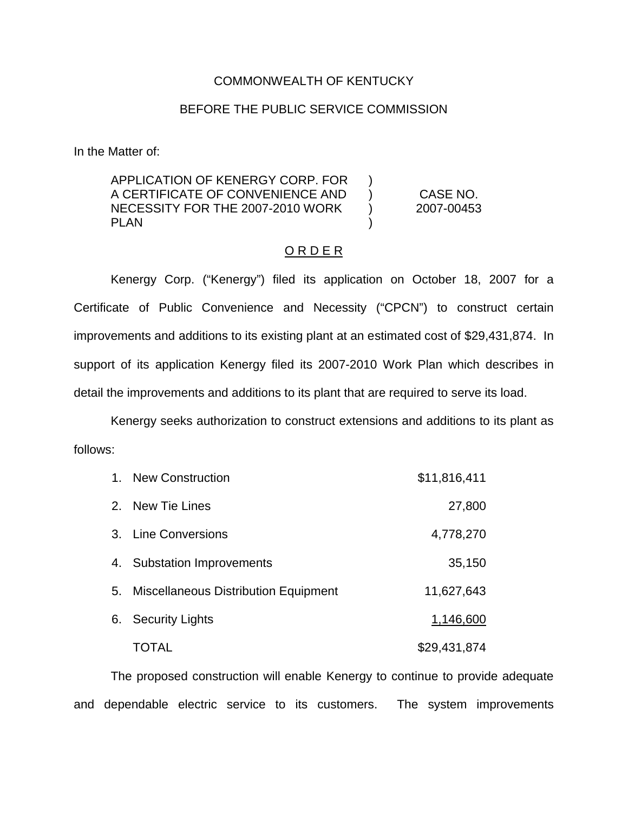## COMMONWEALTH OF KENTUCKY

## BEFORE THE PUBLIC SERVICE COMMISSION

In the Matter of:

APPLICATION OF KENERGY CORP. FOR A CERTIFICATE OF CONVENIENCE AND NECESSITY FOR THE 2007-2010 WORK PLAN  $\mathcal{L}$  $\lambda$  $\left( \right)$ )

CASE NO. 2007-00453

## O R D E R

Kenergy Corp. ("Kenergy") filed its application on October 18, 2007 for a Certificate of Public Convenience and Necessity ("CPCN") to construct certain improvements and additions to its existing plant at an estimated cost of \$29,431,874. In support of its application Kenergy filed its 2007-2010 Work Plan which describes in detail the improvements and additions to its plant that are required to serve its load.

Kenergy seeks authorization to construct extensions and additions to its plant as follows:

| 1. New Construction                     | \$11,816,411 |
|-----------------------------------------|--------------|
| 2. New Tie Lines                        | 27,800       |
| 3. Line Conversions                     | 4,778,270    |
| 4. Substation Improvements              | 35,150       |
| 5. Miscellaneous Distribution Equipment | 11,627,643   |
| 6. Security Lights                      | 1,146,600    |
| TOTAL                                   | \$29,431,874 |

The proposed construction will enable Kenergy to continue to provide adequate and dependable electric service to its customers. The system improvements